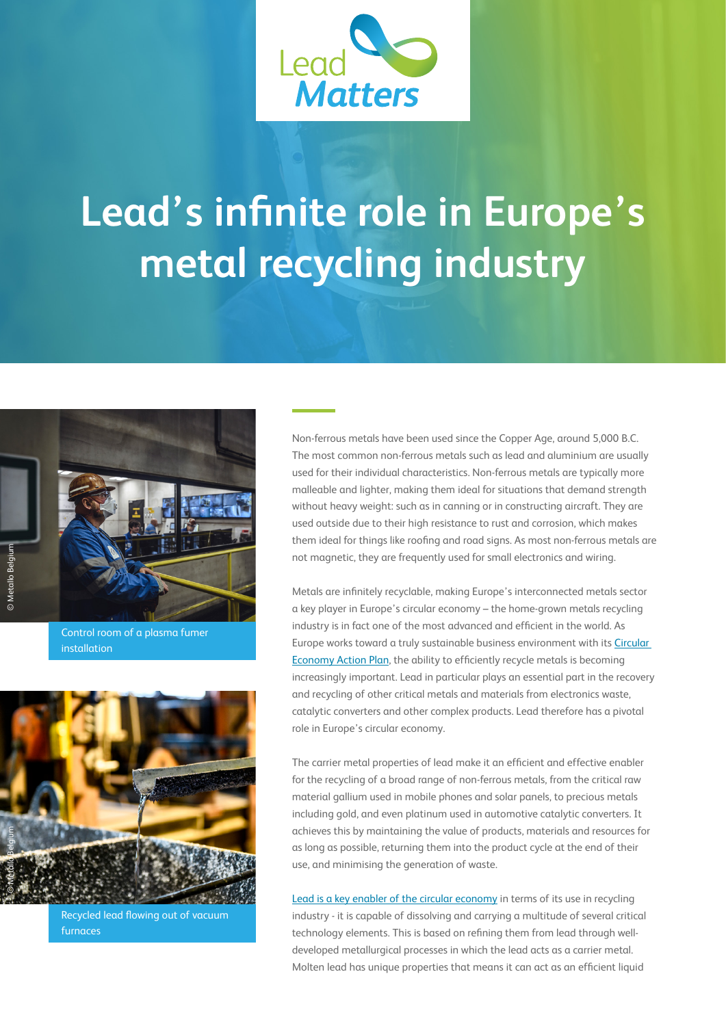

## **Lead's infinite role in Europe's metal recycling industry**



Control room of a plasma fumer installation



Recycled lead flowing out of vacuum furnaces

Non-ferrous metals have been used since the Copper Age, around 5,000 B.C. The most common non-ferrous metals such as lead and aluminium are usually used for their individual characteristics. Non-ferrous metals are typically more malleable and lighter, making them ideal for situations that demand strength without heavy weight: such as in canning or in constructing aircraft. They are used outside due to their high resistance to rust and corrosion, which makes them ideal for things like roofing and road signs. As most non-ferrous metals are not magnetic, they are frequently used for small electronics and wiring.

Metals are infinitely recyclable, making Europe's interconnected metals sector a key player in Europe's circular economy – the home-grown metals recycling industry is in fact one of the most advanced and efficient in the world. As Europe works toward a truly sustainable business environment with its [Circular](https://ec.europa.eu/environment/circular-economy/index_en.htm)  [Economy Action Plan](https://ec.europa.eu/environment/circular-economy/index_en.htm), the ability to efficiently recycle metals is becoming increasingly important. Lead in particular plays an essential part in the recovery and recycling of other critical metals and materials from electronics waste, catalytic converters and other complex products. Lead therefore has a pivotal role in Europe's circular economy.

The carrier metal properties of lead make it an efficient and effective enabler for the recycling of a broad range of non-ferrous metals, from the critical raw material gallium used in mobile phones and solar panels, to precious metals including gold, and even platinum used in automotive catalytic converters. It achieves this by maintaining the value of products, materials and resources for as long as possible, returning them into the product cycle at the end of their use, and minimising the generation of waste.

[Lead is a key enabler of the circular economy](https://etn-socrates.eu/socrates-policy-brief-on-lead-metallurgy-gets-international-attention-june2019/) in terms of its use in recycling industry - it is capable of dissolving and carrying a multitude of several critical technology elements. This is based on refining them from lead through welldeveloped metallurgical processes in which the lead acts as a carrier metal. Molten lead has unique properties that means it can act as an efficient liquid